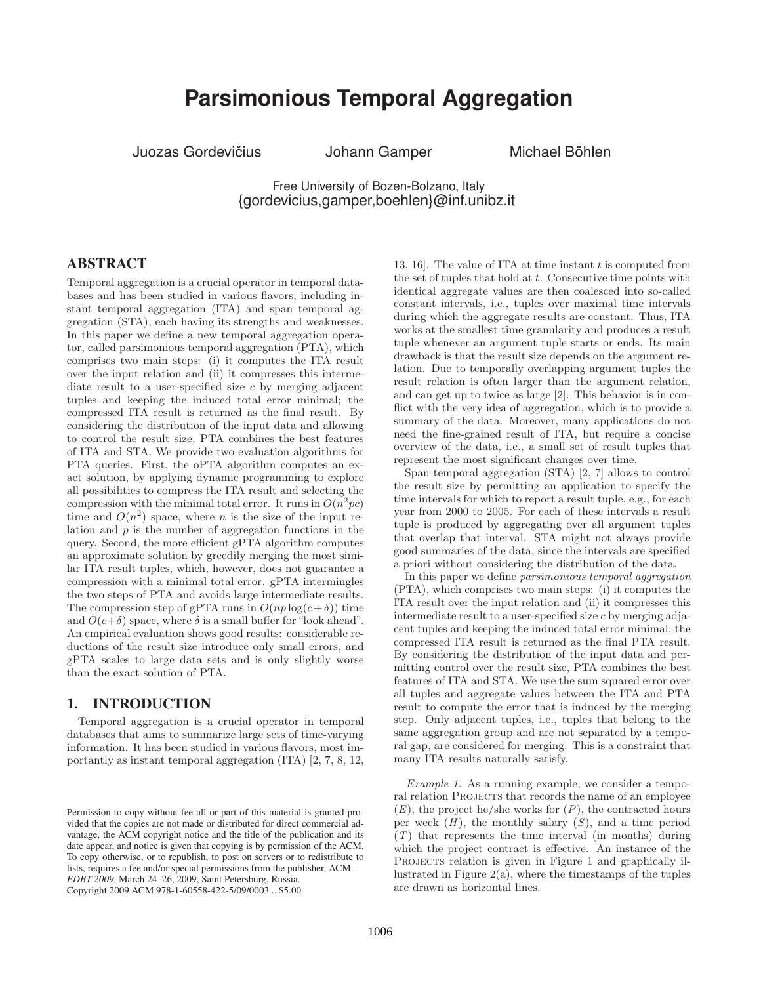# **Parsimonious Temporal Aggregation**

Juozas Gordevičius and Johann Gamper **Michael Böhlen** 

Free University of Bozen-Bolzano, Italy {gordevicius,gamper,boehlen}@inf.unibz.it

## **ABSTRACT**

Temporal aggregation is a crucial operator in temporal databases and has been studied in various flavors, including instant temporal aggregation (ITA) and span temporal aggregation (STA), each having its strengths and weaknesses. In this paper we define a new temporal aggregation operator, called parsimonious temporal aggregation (PTA), which comprises two main steps: (i) it computes the ITA result over the input relation and (ii) it compresses this intermediate result to a user-specified size c by merging adjacent tuples and keeping the induced total error minimal; the compressed ITA result is returned as the final result. By considering the distribution of the input data and allowing to control the result size, PTA combines the best features of ITA and STA. We provide two evaluation algorithms for PTA queries. First, the oPTA algorithm computes an exact solution, by applying dynamic programming to explore all possibilities to compress the ITA result and selecting the compression with the minimal total error. It runs in  $O(n^2 pc)$ time and  $O(n^2)$  space, where n is the size of the input relation and  $p$  is the number of aggregation functions in the query. Second, the more efficient gPTA algorithm computes an approximate solution by greedily merging the most similar ITA result tuples, which, however, does not guarantee a compression with a minimal total error. gPTA intermingles the two steps of PTA and avoids large intermediate results. The compression step of gPTA runs in  $O(np \log(c+\delta))$  time and  $O(c+\delta)$  space, where  $\delta$  is a small buffer for "look ahead". An empirical evaluation shows good results: considerable reductions of the result size introduce only small errors, and gPTA scales to large data sets and is only slightly worse than the exact solution of PTA.

## **1. INTRODUCTION**

Temporal aggregation is a crucial operator in temporal databases that aims to summarize large sets of time-varying information. It has been studied in various flavors, most importantly as instant temporal aggregation (ITA) [2, 7, 8, 12,

13, 16]. The value of ITA at time instant  $t$  is computed from the set of tuples that hold at  $t$ . Consecutive time points with identical aggregate values are then coalesced into so-called constant intervals, i.e., tuples over maximal time intervals during which the aggregate results are constant. Thus, ITA works at the smallest time granularity and produces a result tuple whenever an argument tuple starts or ends. Its main drawback is that the result size depends on the argument relation. Due to temporally overlapping argument tuples the result relation is often larger than the argument relation, and can get up to twice as large [2]. This behavior is in conflict with the very idea of aggregation, which is to provide a summary of the data. Moreover, many applications do not need the fine-grained result of ITA, but require a concise overview of the data, i.e., a small set of result tuples that represent the most significant changes over time.

Span temporal aggregation (STA) [2, 7] allows to control the result size by permitting an application to specify the time intervals for which to report a result tuple, e.g., for each year from 2000 to 2005. For each of these intervals a result tuple is produced by aggregating over all argument tuples that overlap that interval. STA might not always provide good summaries of the data, since the intervals are specified a priori without considering the distribution of the data.

In this paper we define parsimonious temporal aggregation (PTA), which comprises two main steps: (i) it computes the ITA result over the input relation and (ii) it compresses this intermediate result to a user-specified size c by merging adjacent tuples and keeping the induced total error minimal; the compressed ITA result is returned as the final PTA result. By considering the distribution of the input data and permitting control over the result size, PTA combines the best features of ITA and STA. We use the sum squared error over all tuples and aggregate values between the ITA and PTA result to compute the error that is induced by the merging step. Only adjacent tuples, i.e., tuples that belong to the same aggregation group and are not separated by a temporal gap, are considered for merging. This is a constraint that many ITA results naturally satisfy.

Example 1. As a running example, we consider a temporal relation PROJECTS that records the name of an employee  $(E)$ , the project he/she works for  $(P)$ , the contracted hours per week  $(H)$ , the monthly salary  $(S)$ , and a time period (T) that represents the time interval (in months) during which the project contract is effective. An instance of the PROJECTS relation is given in Figure 1 and graphically illustrated in Figure  $2(a)$ , where the timestamps of the tuples are drawn as horizontal lines.

Permission to copy without fee all or part of this material is granted provided that the copies are not made or distributed for direct commercial advantage, the ACM copyright notice and the title of the publication and its date appear, and notice is given that copying is by permission of the ACM. To copy otherwise, or to republish, to post on servers or to redistribute to lists, requires a fee and/or special permissions from the publisher, ACM. *EDBT 2009*, March 24–26, 2009, Saint Petersburg, Russia. Copyright 2009 ACM 978-1-60558-422-5/09/0003 ...\$5.00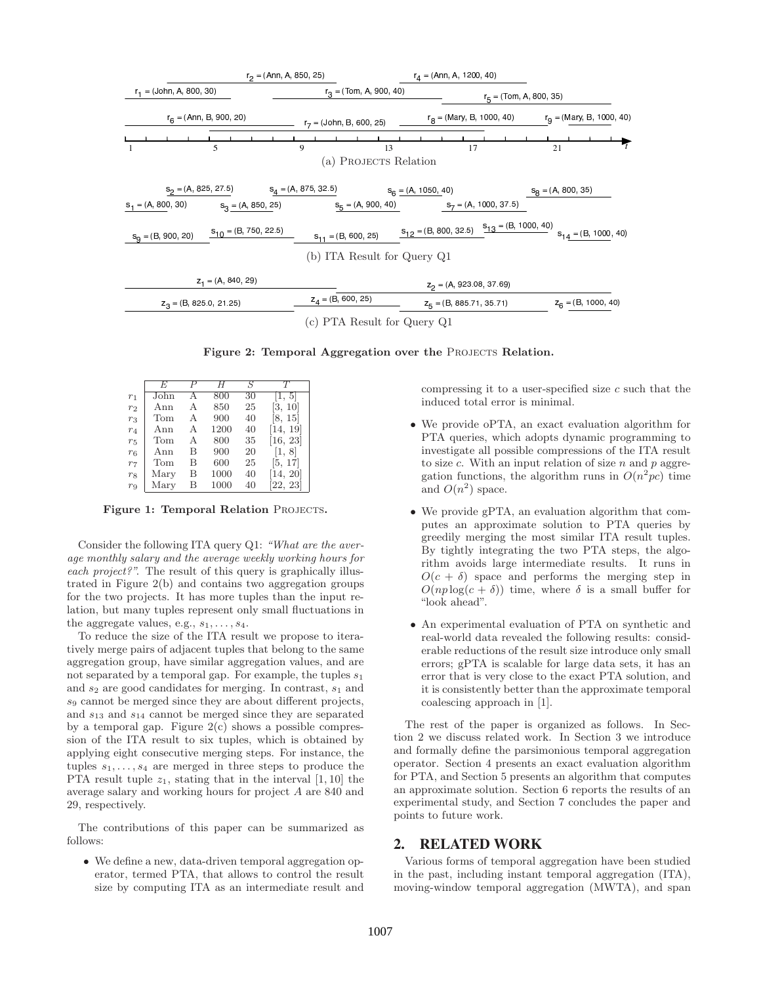

Figure 2: Temporal Aggregation over the PROJECTS Relation.

|                | F,    |   |      | S  |          |
|----------------|-------|---|------|----|----------|
| $r_1$          | John. |   | 800  | 30 | 1, 5     |
| r <sub>2</sub> | Ann   | А | 850  | 25 | [3, 10]  |
| $r_3$          | Tom   | A | 900  | 40 | [8, 15]  |
| $r_4$          | Ann   | А | 1200 | 40 | [14, 19] |
| $r_5$          | Tom   | А | 800  | 35 | [16, 23] |
| $r_6$          | Ann   | В | 900  | 20 | [1, 8]   |
| r <sub>7</sub> | Tom   | в | 600  | 25 | [5, 17]  |
| $r_8$          | Mary  | в | 1000 | 40 | [14, 20] |
| r <sub>9</sub> | Mary  | В | 1000 | 40 | 22, 23   |

Figure 1: Temporal Relation PROJECTS.

Consider the following ITA query Q1: "What are the average monthly salary and the average weekly working hours for each project?". The result of this query is graphically illustrated in Figure 2(b) and contains two aggregation groups for the two projects. It has more tuples than the input relation, but many tuples represent only small fluctuations in the aggregate values, e.g.,  $s_1, \ldots, s_4$ .

To reduce the size of the ITA result we propose to iteratively merge pairs of adjacent tuples that belong to the same aggregation group, have similar aggregation values, and are not separated by a temporal gap. For example, the tuples  $s_1$ and  $s_2$  are good candidates for merging. In contrast,  $s_1$  and s<sup>9</sup> cannot be merged since they are about different projects, and  $s_{13}$  and  $s_{14}$  cannot be merged since they are separated by a temporal gap. Figure  $2(c)$  shows a possible compression of the ITA result to six tuples, which is obtained by applying eight consecutive merging steps. For instance, the tuples  $s_1, \ldots, s_4$  are merged in three steps to produce the PTA result tuple  $z_1$ , stating that in the interval [1, 10] the average salary and working hours for project A are 840 and 29, respectively.

The contributions of this paper can be summarized as follows:

• We define a new, data-driven temporal aggregation operator, termed PTA, that allows to control the result size by computing ITA as an intermediate result and compressing it to a user-specified size  $c$  such that the induced total error is minimal.

- We provide oPTA, an exact evaluation algorithm for PTA queries, which adopts dynamic programming to investigate all possible compressions of the ITA result to size c. With an input relation of size  $n$  and  $p$  aggregation functions, the algorithm runs in  $O(n^2pc)$  time and  $O(n^2)$  space.
- We provide gPTA, an evaluation algorithm that computes an approximate solution to PTA queries by greedily merging the most similar ITA result tuples. By tightly integrating the two PTA steps, the algorithm avoids large intermediate results. It runs in  $O(c + \delta)$  space and performs the merging step in  $O(np \log(c + \delta))$  time, where  $\delta$  is a small buffer for "look ahead".
- An experimental evaluation of PTA on synthetic and real-world data revealed the following results: considerable reductions of the result size introduce only small errors; gPTA is scalable for large data sets, it has an error that is very close to the exact PTA solution, and it is consistently better than the approximate temporal coalescing approach in [1].

The rest of the paper is organized as follows. In Section 2 we discuss related work. In Section 3 we introduce and formally define the parsimonious temporal aggregation operator. Section 4 presents an exact evaluation algorithm for PTA, and Section 5 presents an algorithm that computes an approximate solution. Section 6 reports the results of an experimental study, and Section 7 concludes the paper and points to future work.

## **2. RELATED WORK**

Various forms of temporal aggregation have been studied in the past, including instant temporal aggregation (ITA), moving-window temporal aggregation (MWTA), and span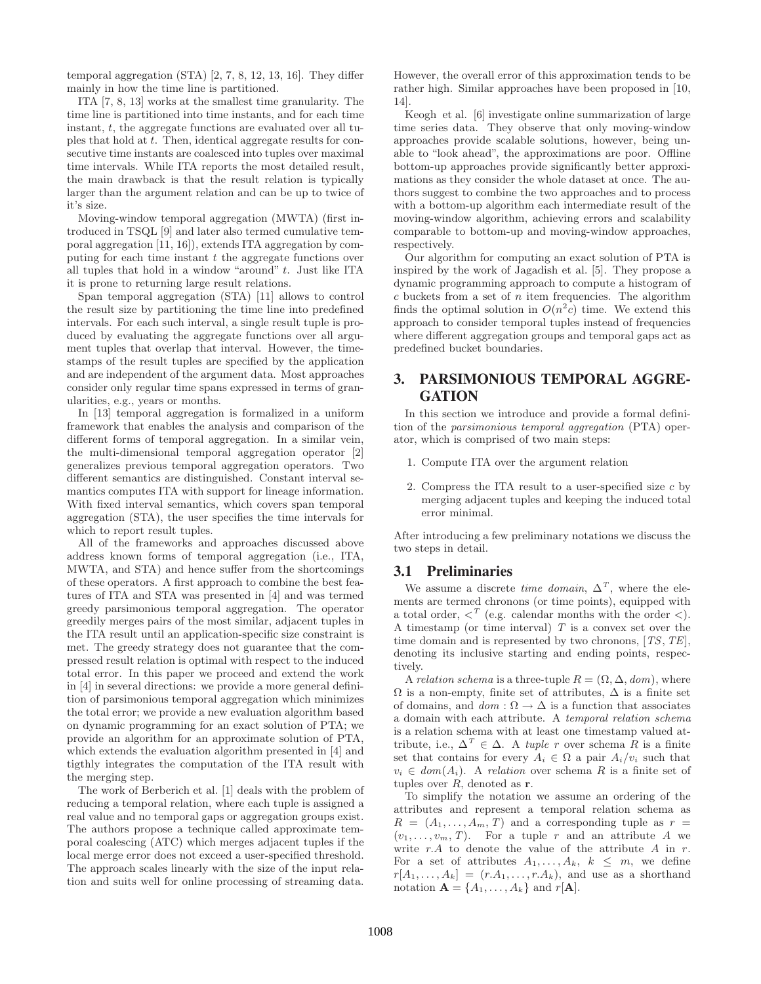temporal aggregation (STA) [2, 7, 8, 12, 13, 16]. They differ mainly in how the time line is partitioned.

ITA [7, 8, 13] works at the smallest time granularity. The time line is partitioned into time instants, and for each time instant, t, the aggregate functions are evaluated over all tuples that hold at t. Then, identical aggregate results for consecutive time instants are coalesced into tuples over maximal time intervals. While ITA reports the most detailed result, the main drawback is that the result relation is typically larger than the argument relation and can be up to twice of it's size.

Moving-window temporal aggregation (MWTA) (first introduced in TSQL [9] and later also termed cumulative temporal aggregation [11, 16]), extends ITA aggregation by computing for each time instant  $t$  the aggregate functions over all tuples that hold in a window "around"  $t$ . Just like ITA it is prone to returning large result relations.

Span temporal aggregation (STA) [11] allows to control the result size by partitioning the time line into predefined intervals. For each such interval, a single result tuple is produced by evaluating the aggregate functions over all argument tuples that overlap that interval. However, the timestamps of the result tuples are specified by the application and are independent of the argument data. Most approaches consider only regular time spans expressed in terms of granularities, e.g., years or months.

In [13] temporal aggregation is formalized in a uniform framework that enables the analysis and comparison of the different forms of temporal aggregation. In a similar vein, the multi-dimensional temporal aggregation operator [2] generalizes previous temporal aggregation operators. Two different semantics are distinguished. Constant interval semantics computes ITA with support for lineage information. With fixed interval semantics, which covers span temporal aggregation (STA), the user specifies the time intervals for which to report result tuples.

All of the frameworks and approaches discussed above address known forms of temporal aggregation (i.e., ITA, MWTA, and STA) and hence suffer from the shortcomings of these operators. A first approach to combine the best features of ITA and STA was presented in [4] and was termed greedy parsimonious temporal aggregation. The operator greedily merges pairs of the most similar, adjacent tuples in the ITA result until an application-specific size constraint is met. The greedy strategy does not guarantee that the compressed result relation is optimal with respect to the induced total error. In this paper we proceed and extend the work in [4] in several directions: we provide a more general definition of parsimonious temporal aggregation which minimizes the total error; we provide a new evaluation algorithm based on dynamic programming for an exact solution of PTA; we provide an algorithm for an approximate solution of PTA, which extends the evaluation algorithm presented in [4] and tigthly integrates the computation of the ITA result with the merging step.

The work of Berberich et al. [1] deals with the problem of reducing a temporal relation, where each tuple is assigned a real value and no temporal gaps or aggregation groups exist. The authors propose a technique called approximate temporal coalescing (ATC) which merges adjacent tuples if the local merge error does not exceed a user-specified threshold. The approach scales linearly with the size of the input relation and suits well for online processing of streaming data. However, the overall error of this approximation tends to be rather high. Similar approaches have been proposed in [10, 14].

Keogh et al. [6] investigate online summarization of large time series data. They observe that only moving-window approaches provide scalable solutions, however, being unable to "look ahead", the approximations are poor. Offline bottom-up approaches provide significantly better approximations as they consider the whole dataset at once. The authors suggest to combine the two approaches and to process with a bottom-up algorithm each intermediate result of the moving-window algorithm, achieving errors and scalability comparable to bottom-up and moving-window approaches, respectively.

Our algorithm for computing an exact solution of PTA is inspired by the work of Jagadish et al. [5]. They propose a dynamic programming approach to compute a histogram of  $c$  buckets from a set of  $n$  item frequencies. The algorithm finds the optimal solution in  $O(n^2c)$  time. We extend this approach to consider temporal tuples instead of frequencies where different aggregation groups and temporal gaps act as predefined bucket boundaries.

# **3. PARSIMONIOUS TEMPORAL AGGRE-GATION**

In this section we introduce and provide a formal definition of the parsimonious temporal aggregation (PTA) operator, which is comprised of two main steps:

- 1. Compute ITA over the argument relation
- 2. Compress the ITA result to a user-specified size c by merging adjacent tuples and keeping the induced total error minimal.

After introducing a few preliminary notations we discuss the two steps in detail.

#### **3.1 Preliminaries**

We assume a discrete *time domain*,  $\Delta^T$ , where the elements are termed chronons (or time points), equipped with a total order,  $\langle \cdot \rangle^T$  (e.g. calendar months with the order  $\langle \cdot \rangle$ ). A timestamp (or time interval)  $T$  is a convex set over the time domain and is represented by two chronons, [TS, TE], denoting its inclusive starting and ending points, respectively.

A relation schema is a three-tuple  $R = (\Omega, \Delta, dom)$ , where  $\Omega$  is a non-empty, finite set of attributes,  $\Delta$  is a finite set of domains, and  $dom : \Omega \to \Delta$  is a function that associates a domain with each attribute. A temporal relation schema is a relation schema with at least one timestamp valued attribute, i.e.,  $\Delta^T \in \Delta$ . A *tuple r* over schema R is a finite set that contains for every  $A_i \in \Omega$  a pair  $A_i/v_i$  such that  $v_i \in dom(A_i)$ . A relation over schema R is a finite set of tuples over  $R$ , denoted as  $r$ .

To simplify the notation we assume an ordering of the attributes and represent a temporal relation schema as  $R = (A_1, \ldots, A_m, T)$  and a corresponding tuple as  $r =$  $(v_1, \ldots, v_m, T)$ . For a tuple r and an attribute A we write  $r.A$  to denote the value of the attribute  $A$  in  $r$ . For a set of attributes  $A_1, \ldots, A_k, k \leq m$ , we define  $r[A_1, \ldots, A_k] = (r.A_1, \ldots, r.A_k)$ , and use as a shorthand notation  $\mathbf{A} = \{A_1, \ldots, A_k\}$  and  $r[\mathbf{A}]$ .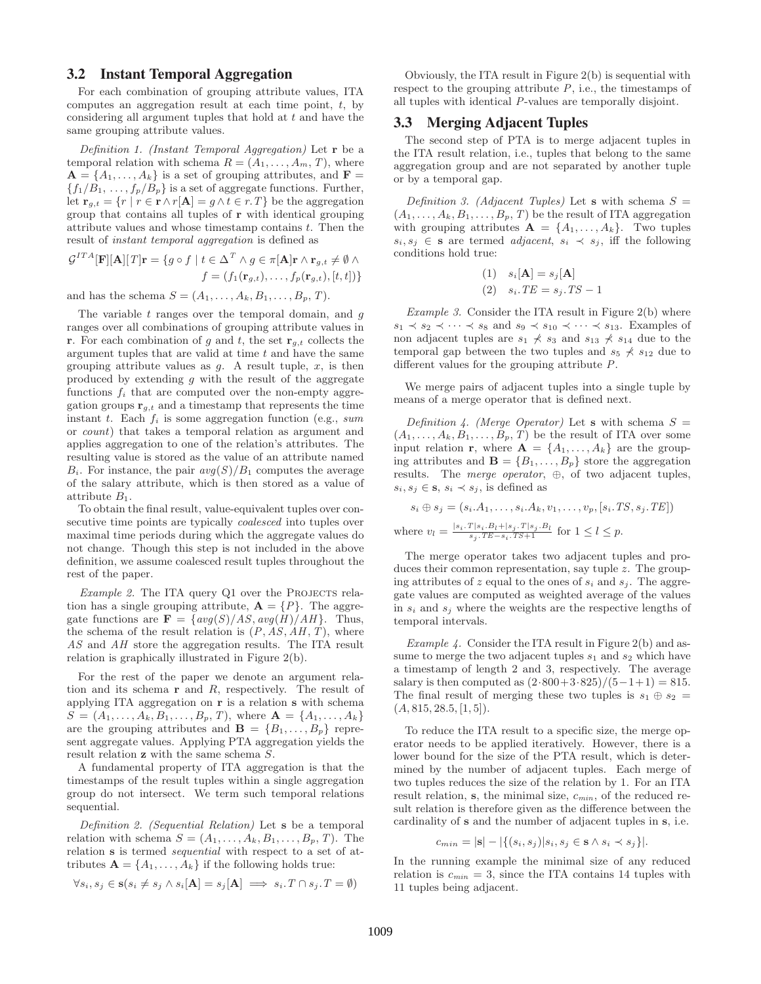## **3.2 Instant Temporal Aggregation**

For each combination of grouping attribute values, ITA computes an aggregation result at each time point,  $t$ , by considering all argument tuples that hold at t and have the same grouping attribute values.

Definition 1. (Instant Temporal Aggregation) Let r be a temporal relation with schema  $R = (A_1, \ldots, A_m, T)$ , where  $A = \{A_1, \ldots, A_k\}$  is a set of grouping attributes, and  $\mathbf{F} =$  ${f_1/B_1, \ldots, f_p/B_p}$  is a set of aggregate functions. Further, let  $\mathbf{r}_{q,t} = \{r \mid r \in \mathbf{r} \land r[\mathbf{A}] = g \land t \in r, T\}$  be the aggregation group that contains all tuples of r with identical grouping attribute values and whose timestamp contains  $t$ . Then the result of instant temporal aggregation is defined as

$$
\mathcal{G}^{ITA}[\mathbf{F}][\mathbf{A}][T]\mathbf{r} = \{g \circ f \mid t \in \Delta^T \land g \in \pi[\mathbf{A}]\mathbf{r} \land \mathbf{r}_{g,t} \neq \emptyset \land \nf = (f_1(\mathbf{r}_{g,t}), \dots, f_p(\mathbf{r}_{g,t}), [t, t])\}
$$

and has the schema  $S = (A_1, \ldots, A_k, B_1, \ldots, B_p, T)$ .

The variable  $t$  ranges over the temporal domain, and  $g$ ranges over all combinations of grouping attribute values in **r**. For each combination of g and t, the set  $\mathbf{r}_{q,t}$  collects the argument tuples that are valid at time  $t$  and have the same grouping attribute values as  $g$ . A result tuple,  $x$ , is then produced by extending g with the result of the aggregate functions  $f_i$  that are computed over the non-empty aggregation groups  $\mathbf{r}_{g,t}$  and a timestamp that represents the time instant t. Each  $f_i$  is some aggregation function (e.g., sum or count) that takes a temporal relation as argument and applies aggregation to one of the relation's attributes. The resulting value is stored as the value of an attribute named  $B_i$ . For instance, the pair  $avg(S)/B_1$  computes the average of the salary attribute, which is then stored as a value of attribute  $B_1$ .

To obtain the final result, value-equivalent tuples over consecutive time points are typically coalesced into tuples over maximal time periods during which the aggregate values do not change. Though this step is not included in the above definition, we assume coalesced result tuples throughout the rest of the paper.

 $Example 2.$  The ITA query Q1 over the PROJECTS relation has a single grouping attribute,  $\mathbf{A} = \{P\}$ . The aggregate functions are  $\mathbf{F} = \{avg(S)/AS, avg(H)/AH\}$ . Thus, the schema of the result relation is  $(P, AS, AH, T)$ , where AS and AH store the aggregation results. The ITA result relation is graphically illustrated in Figure 2(b).

For the rest of the paper we denote an argument relation and its schema  $r$  and  $R$ , respectively. The result of applying ITA aggregation on r is a relation s with schema  $S = (A_1, \ldots, A_k, B_1, \ldots, B_p, T)$ , where  $\mathbf{A} = \{A_1, \ldots, A_k\}$ are the grouping attributes and  $\mathbf{B} = \{B_1, \ldots, B_p\}$  represent aggregate values. Applying PTA aggregation yields the result relation z with the same schema S.

A fundamental property of ITA aggregation is that the timestamps of the result tuples within a single aggregation group do not intersect. We term such temporal relations sequential.

Definition 2. (Sequential Relation) Let s be a temporal relation with schema  $S = (A_1, \ldots, A_k, B_1, \ldots, B_p, T)$ . The relation s is termed sequential with respect to a set of attributes  $\mathbf{A} = \{A_1, \ldots, A_k\}$  if the following holds true:

$$
\forall s_i, s_j \in \mathbf{s}(s_i \neq s_j \land s_i[\mathbf{A}] = s_j[\mathbf{A}] \implies s_i \cdot T \cap s_j \cdot T = \emptyset)
$$

Obviously, the ITA result in Figure 2(b) is sequential with respect to the grouping attribute  $P$ , i.e., the timestamps of all tuples with identical P-values are temporally disjoint.

#### **3.3 Merging Adjacent Tuples**

The second step of PTA is to merge adjacent tuples in the ITA result relation, i.e., tuples that belong to the same aggregation group and are not separated by another tuple or by a temporal gap.

Definition 3. (Adjacent Tuples) Let s with schema  $S =$  $(A_1, \ldots, A_k, B_1, \ldots, B_p, T)$  be the result of ITA aggregation with grouping attributes  $\mathbf{A} = \{A_1, \ldots, A_k\}$ . Two tuples  $s_i, s_j \in \mathbf{s}$  are termed *adjacent*,  $s_i \prec s_j$ , iff the following conditions hold true:

(1) 
$$
s_i[\mathbf{A}] = s_j[\mathbf{A}]
$$
  
(2)  $s_i \cdot TE = s_j \cdot TS - 1$ 

Example 3. Consider the ITA result in Figure  $2(b)$  where  $s_1 \prec s_2 \prec \cdots \prec s_8$  and  $s_9 \prec s_{10} \prec \cdots \prec s_{13}$ . Examples of non adjacent tuples are  $s_1 \nless s_3$  and  $s_{13} \nless s_{14}$  due to the temporal gap between the two tuples and  $s_5 \nless s_{12}$  due to different values for the grouping attribute P.

We merge pairs of adjacent tuples into a single tuple by means of a merge operator that is defined next.

Definition 4. (Merge Operator) Let s with schema  $S =$  $(A_1, \ldots, A_k, B_1, \ldots, B_p, T)$  be the result of ITA over some input relation **r**, where  $A = \{A_1, \ldots, A_k\}$  are the grouping attributes and  $\mathbf{B} = \{B_1, \ldots, B_p\}$  store the aggregation results. The *merge operator*,  $\oplus$ , of two adjacent tuples,  $s_i, s_j \in \mathbf{s}, s_i \prec s_j$ , is defined as

$$
s_i \oplus s_j = (s_i.A_1, \ldots, s_i.A_k, v_1, \ldots, v_p, [s_i. TS, s_j. TE])
$$

where 
$$
v_l = \frac{|s_i \cdot T| s_i \cdot B_l + |s_j \cdot T| s_j \cdot B_l}{s_j \cdot TE - s_i \cdot TS + 1}
$$
 for  $1 \leq l \leq p$ .

The merge operator takes two adjacent tuples and produces their common representation, say tuple z. The grouping attributes of z equal to the ones of  $s_i$  and  $s_j$ . The aggregate values are computed as weighted average of the values in  $s_i$  and  $s_j$  where the weights are the respective lengths of temporal intervals.

Example 4. Consider the ITA result in Figure  $2(b)$  and assume to merge the two adjacent tuples  $s_1$  and  $s_2$  which have a timestamp of length 2 and 3, respectively. The average salary is then computed as  $(2.800+3.825)/(5-1+1) = 815$ . The final result of merging these two tuples is  $s_1 \oplus s_2 =$  $(A, 815, 28.5, [1, 5]).$ 

To reduce the ITA result to a specific size, the merge operator needs to be applied iteratively. However, there is a lower bound for the size of the PTA result, which is determined by the number of adjacent tuples. Each merge of two tuples reduces the size of the relation by 1. For an ITA result relation,  $s$ , the minimal size,  $c_{min}$ , of the reduced result relation is therefore given as the difference between the cardinality of s and the number of adjacent tuples in s, i.e.

$$
c_{min} = |\mathbf{s}| - |\{(s_i, s_j)|s_i, s_j \in \mathbf{s} \land s_i \prec s_j\}|.
$$

In the running example the minimal size of any reduced relation is  $c_{min} = 3$ , since the ITA contains 14 tuples with 11 tuples being adjacent.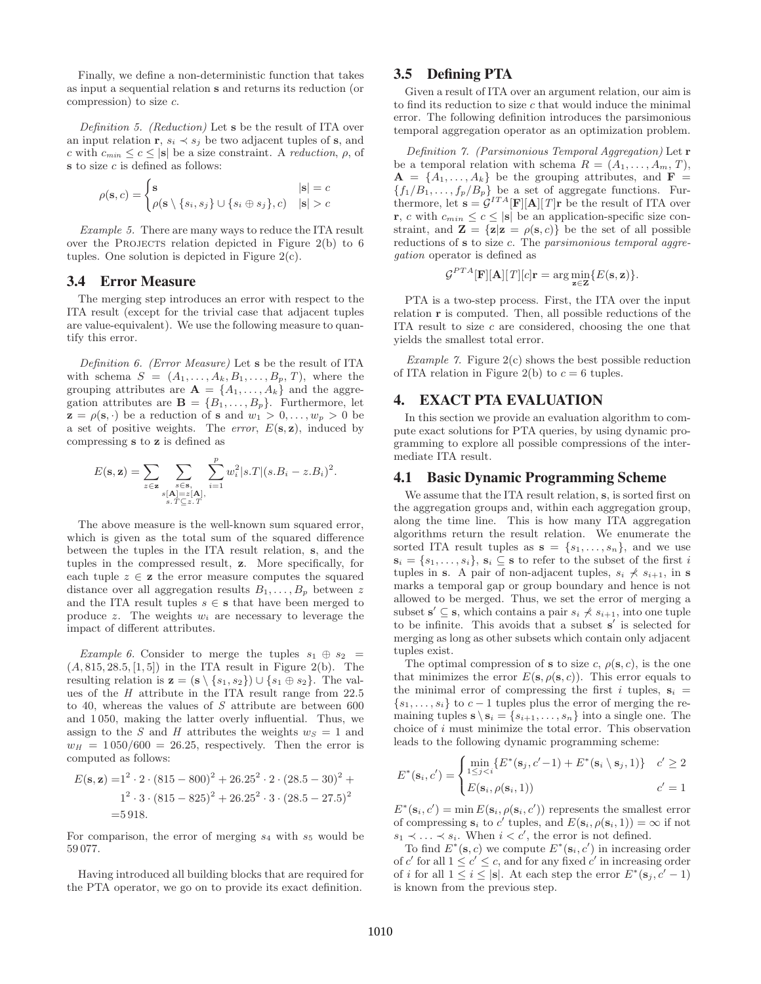Finally, we define a non-deterministic function that takes as input a sequential relation s and returns its reduction (or compression) to size c.

Definition 5. (Reduction) Let **s** be the result of ITA over an input relation  $\mathbf{r}, s_i \prec s_j$  be two adjacent tuples of s, and c with  $c_{min} \leq c \leq |\mathbf{s}|$  be a size constraint. A reduction,  $\rho$ , of  $s$  to size  $c$  is defined as follows:

$$
\rho(\mathbf{s}, c) = \begin{cases} \mathbf{s} & |\mathbf{s}| = c \\ \rho(\mathbf{s} \setminus \{s_i, s_j\} \cup \{s_i \oplus s_j\}, c) & |\mathbf{s}| > c \end{cases}
$$

Example 5. There are many ways to reduce the ITA result over the PROJECTS relation depicted in Figure  $2(b)$  to 6 tuples. One solution is depicted in Figure 2(c).

#### **3.4 Error Measure**

The merging step introduces an error with respect to the ITA result (except for the trivial case that adjacent tuples are value-equivalent). We use the following measure to quantify this error.

Definition 6. (Error Measure) Let s be the result of ITA with schema  $S = (A_1, \ldots, A_k, B_1, \ldots, B_p, T)$ , where the grouping attributes are  $\mathbf{A} = \{A_1, \ldots, A_k\}$  and the aggregation attributes are  $\mathbf{B} = \{B_1, \ldots, B_p\}$ . Furthermore, let  $z = \rho(s, \cdot)$  be a reduction of s and  $w_1 > 0, \ldots, w_p > 0$  be a set of positive weights. The error,  $E(\mathbf{s}, \mathbf{z})$ , induced by compressing s to z is defined as

$$
E(\mathbf{s}, \mathbf{z}) = \sum_{z \in \mathbf{z}} \sum_{\substack{s \in \mathbf{s},\\s|A|=z|A,\\s,T \subseteq z,T}} \sum_{i=1}^{p} w_i^2 |s.T| (s.B_i - z.B_i)^2.
$$

The above measure is the well-known sum squared error, which is given as the total sum of the squared difference between the tuples in the ITA result relation, s, and the tuples in the compressed result, z. More specifically, for each tuple  $z \in \mathbf{z}$  the error measure computes the squared distance over all aggregation results  $B_1, \ldots, B_p$  between z and the ITA result tuples  $s \in \mathbf{s}$  that have been merged to produce z. The weights  $w_i$  are necessary to leverage the impact of different attributes.

Example 6. Consider to merge the tuples  $s_1 \oplus s_2 =$  $(A, 815, 28.5, [1, 5])$  in the ITA result in Figure 2(b). The resulting relation is  $\mathbf{z} = (\mathbf{s} \setminus \{s_1, s_2\}) \cup \{s_1 \oplus s_2\}.$  The values of the H attribute in the ITA result range from 22.5 to 40, whereas the values of  $S$  attribute are between 600 and 1 050, making the latter overly influential. Thus, we assign to the S and H attributes the weights  $w_S = 1$  and  $w_H = 1050/600 = 26.25$ , respectively. Then the error is computed as follows:

$$
E(\mathbf{s}, \mathbf{z}) = 1^2 \cdot 2 \cdot (815 - 800)^2 + 26.25^2 \cdot 2 \cdot (28.5 - 30)^2 + 1^2 \cdot 3 \cdot (815 - 825)^2 + 26.25^2 \cdot 3 \cdot (28.5 - 27.5)^2 = 5918.
$$

For comparison, the error of merging  $s_4$  with  $s_5$  would be 59 077.

Having introduced all building blocks that are required for the PTA operator, we go on to provide its exact definition.

## **3.5 Defining PTA**

Given a result of ITA over an argument relation, our aim is to find its reduction to size  $c$  that would induce the minimal error. The following definition introduces the parsimonious temporal aggregation operator as an optimization problem.

Definition 7. (Parsimonious Temporal Aggregation) Let r be a temporal relation with schema  $R = (A_1, \ldots, A_m, T)$ ,  $A = \{A_1, \ldots, A_k\}$  be the grouping attributes, and  $\mathbf{F} =$  ${f_1/B_1, \ldots, f_p/B_p}$  be a set of aggregate functions. Furthermore, let  $\mathbf{s} = \mathcal{G}^{ITA}[\mathbf{F}][\mathbf{A}][T]\mathbf{r}$  be the result of ITA over **r**, c with  $c_{min} \leq c \leq |\mathbf{s}|$  be an application-specific size constraint, and  $\mathbf{Z} = {\mathbf{z} | \mathbf{z} = \rho(\mathbf{s}, c)}$  be the set of all possible reductions of  $s$  to size  $c$ . The parsimonious temporal aggregation operator is defined as

$$
\mathcal{G}^{PTA}[\mathbf{F}][\mathbf{A}][T][c]\mathbf{r} = \arg\min_{\mathbf{z}\in\mathbf{Z}}\{E(\mathbf{s},\mathbf{z})\}.
$$

PTA is a two-step process. First, the ITA over the input relation r is computed. Then, all possible reductions of the ITA result to size  $c$  are considered, choosing the one that yields the smallest total error.

Example 7. Figure  $2(c)$  shows the best possible reduction of ITA relation in Figure 2(b) to  $c = 6$  tuples.

## **4. EXACT PTA EVALUATION**

In this section we provide an evaluation algorithm to compute exact solutions for PTA queries, by using dynamic programming to explore all possible compressions of the intermediate ITA result.

#### **4.1 Basic Dynamic Programming Scheme**

We assume that the ITA result relation, s, is sorted first on the aggregation groups and, within each aggregation group, along the time line. This is how many ITA aggregation algorithms return the result relation. We enumerate the sorted ITA result tuples as  $\mathbf{s} = \{s_1, \ldots, s_n\}$ , and we use  $\mathbf{s}_i = \{s_1, \ldots, s_i\}, \, \mathbf{s}_i \subseteq \mathbf{s}$  to refer to the subset of the first i tuples in s. A pair of non-adjacent tuples,  $s_i \nless s_{i+1}$ , in s marks a temporal gap or group boundary and hence is not allowed to be merged. Thus, we set the error of merging a subset  $\mathbf{s}' \subseteq \mathbf{s}$ , which contains a pair  $s_i \nless s_{i+1}$ , into one tuple to be infinite. This avoids that a subset s ′ is selected for merging as long as other subsets which contain only adjacent tuples exist.

The optimal compression of s to size c,  $\rho(s, c)$ , is the one that minimizes the error  $E(\mathbf{s}, \rho(\mathbf{s}, c))$ . This error equals to the minimal error of compressing the first i tuples,  $s_i$  =  $\{s_1, \ldots, s_i\}$  to  $c-1$  tuples plus the error of merging the remaining tuples  $\mathbf{s} \setminus \mathbf{s}_i = \{s_{i+1}, \ldots, s_n\}$  into a single one. The choice of i must minimize the total error. This observation leads to the following dynamic programming scheme:

$$
E^*(\mathbf{s}_i, c') = \begin{cases} \min_{1 \leq j < i} \{ E^*(\mathbf{s}_j, c' - 1) + E^*(\mathbf{s}_i \setminus \mathbf{s}_j, 1) \} & c' \geq 2\\ E(\mathbf{s}_i, \rho(\mathbf{s}_i, 1)) & c' = 1 \end{cases}
$$

 $E^*(\mathbf{s}_i, c') = \min E(\mathbf{s}_i, \rho(\mathbf{s}_i, c'))$  represents the smallest error of compressing  $s_i$  to c' tuples, and  $E(s_i, \rho(s_i, 1)) = \infty$  if not  $s_1$   $\prec$  ...  $\prec$   $s_i$ . When  $i < c'$ , the error is not defined.

To find  $E^*(\mathbf{s}, c)$  we compute  $E^*(\mathbf{s}_i, c')$  in increasing order of c' for all  $1 \leq c' \leq c$ , and for any fixed c' in increasing order of i for all  $1 \leq i \leq |\mathbf{s}|$ . At each step the error  $E^*(\mathbf{s}_j, c'-1)$ is known from the previous step.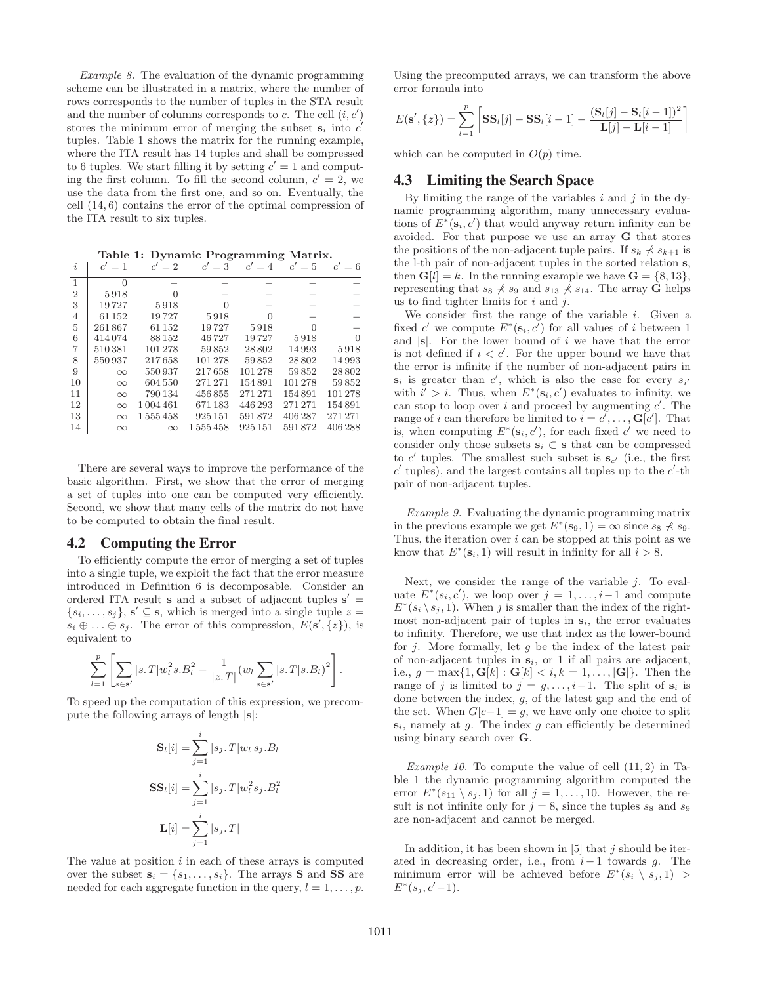Example 8. The evaluation of the dynamic programming scheme can be illustrated in a matrix, where the number of rows corresponds to the number of tuples in the STA result and the number of columns corresponds to c. The cell  $(i, c')$ stores the minimum error of merging the subset  $s_i$  into  $c'$ tuples. Table 1 shows the matrix for the running example, where the ITA result has 14 tuples and shall be compressed to 6 tuples. We start filling it by setting  $c' = 1$  and computing the first column. To fill the second column,  $c' = 2$ , we use the data from the first one, and so on. Eventually, the cell (14, 6) contains the error of the optimal compression of the ITA result to six tuples.

Table 1: Dynamic Programming Matrix.

| $\dot{i}$      | $c'=1$   | $c'=2$   | $c'=3$       | $c'=4$  | $c'=5$  | $= 6$    |
|----------------|----------|----------|--------------|---------|---------|----------|
| $\mathbf{1}$   | $\Omega$ |          |              |         |         |          |
| $\overline{2}$ | 5918     | 0        |              |         |         |          |
| 3              | 19727    | 5918     | $\mathbf{0}$ |         |         |          |
| $\overline{4}$ | 61152    | 19727    | 5918         | 0       |         |          |
| 5              | 261867   | 61 152   | 19727        | 5918    | 0       |          |
| 6              | 414074   | 88152    | 46727        | 19727   | 5918    | $\Omega$ |
| $\overline{7}$ | 510381   | 101278   | 59852        | 28802   | 14993   | 5918     |
| 8              | 550937   | 217658   | 101278       | 59852   | 28802   | 14993    |
| 9              | $\infty$ | 550937   | 217658       | 101 278 | 59852   | 28802    |
| 10             | $\infty$ | 604 550  | 271 271      | 154891  | 101 278 | 59852    |
| 11             | $\infty$ | 790 134  | 456855       | 271 271 | 154891  | 101278   |
| 12             | $\infty$ | 1004461  | 671 183      | 446 293 | 271 271 | 154891   |
| 13             | $\infty$ | 1555458  | 925 151      | 591872  | 406287  | 271 271  |
| 14             | $\infty$ | $\infty$ | 1555458      | 925 151 | 591872  | 406 288  |

There are several ways to improve the performance of the basic algorithm. First, we show that the error of merging a set of tuples into one can be computed very efficiently. Second, we show that many cells of the matrix do not have to be computed to obtain the final result.

#### **4.2 Computing the Error**

To efficiently compute the error of merging a set of tuples into a single tuple, we exploit the fact that the error measure introduced in Definition 6 is decomposable. Consider an ordered ITA result **s** and a subset of adjacent tuples  $s' =$  $\{s_i, \ldots, s_j\}, \, \mathbf{s}' \subseteq \mathbf{s}, \, \text{which is merged into a single tuple } z =$  $s_i \oplus \ldots \oplus s_j$ . The error of this compression,  $E(\mathbf{s}',\{z\})$ , is equivalent to

$$
\sum_{l=1}^{p} \left[ \sum_{s \in \mathbf{s}'} |s. T| w_l^2 s. B_l^2 - \frac{1}{|z. T|} (w_l \sum_{s \in \mathbf{s}'} |s. T| s. B_l)^2 \right].
$$

To speed up the computation of this expression, we precompute the following arrays of length |s|:

$$
\mathbf{S}_{l}[i] = \sum_{j=1}^{i} |s_j, T| w_l s_j. B_l
$$

$$
\mathbf{SS}_{l}[i] = \sum_{j=1}^{i} |s_j, T| w_l^2 s_j. B_l^2
$$

$$
\mathbf{L}[i] = \sum_{j=1}^{i} |s_j, T|
$$

The value at position  $i$  in each of these arrays is computed over the subset  $s_i = \{s_1, \ldots, s_i\}$ . The arrays **S** and **SS** are needed for each aggregate function in the query,  $l = 1, \ldots, p$ .

Using the precomputed arrays, we can transform the above error formula into

$$
E(\mathbf{s}',\{z\}) = \sum_{l=1}^{p} \left[ \mathbf{SS}_{l}[j] - \mathbf{SS}_{l}[i-1] - \frac{(\mathbf{S}_{l}[j] - \mathbf{S}_{l}[i-1])^{2}}{\mathbf{L}[j] - \mathbf{L}[i-1]} \right]
$$

which can be computed in  $O(p)$  time.

#### **4.3 Limiting the Search Space**

By limiting the range of the variables  $i$  and  $j$  in the dynamic programming algorithm, many unnecessary evaluations of  $E^*(s_i, c')$  that would anyway return infinity can be avoided. For that purpose we use an array G that stores the positions of the non-adjacent tuple pairs. If  $s_k \nless s_{k+1}$  is the l-th pair of non-adjacent tuples in the sorted relation s, then  $G[l] = k$ . In the running example we have  $G = \{8, 13\},\$ representing that  $s_8 \nless s_9$  and  $s_{13} \nless s_{14}$ . The array G helps us to find tighter limits for  $i$  and  $j$ .

We consider first the range of the variable  $i$ . Given a fixed c' we compute  $E^*(s_i, c')$  for all values of i between 1 and  $|s|$ . For the lower bound of i we have that the error is not defined if  $i < c'$ . For the upper bound we have that the error is infinite if the number of non-adjacent pairs in  $s_i$  is greater than c', which is also the case for every  $s_{i'}$ with  $i' > i$ . Thus, when  $E^*(s_i, c')$  evaluates to infinity, we can stop to loop over i and proceed by augmenting  $c'$ . The range of i can therefore be limited to  $i = c', \ldots, \mathbf{G}[c']$ . That is, when computing  $E^*(s_i, c')$ , for each fixed  $c'$  we need to consider only those subsets  $s_i \subset s$  that can be compressed to c' tuples. The smallest such subset is  $s_{c'}$  (i.e., the first  $c'$  tuples), and the largest contains all tuples up to the  $c'$ -th pair of non-adjacent tuples.

Example 9. Evaluating the dynamic programming matrix in the previous example we get  $E^*(s_9, 1) = \infty$  since  $s_8 \nless s_9$ . Thus, the iteration over  $i$  can be stopped at this point as we know that  $E^*(\mathbf{s}_i, 1)$  will result in infinity for all  $i > 8$ .

Next, we consider the range of the variable  $j$ . To evaluate  $E^*(s_i, c')$ , we loop over  $j = 1, \ldots, i-1$  and compute  $E^*(s_i \setminus s_j, 1)$ . When j is smaller than the index of the rightmost non-adjacent pair of tuples in  $s_i$ , the error evaluates to infinity. Therefore, we use that index as the lower-bound for  $j$ . More formally, let  $g$  be the index of the latest pair of non-adjacent tuples in  $s_i$ , or 1 if all pairs are adjacent, i.e.,  $g = \max\{1, G[k] : G[k] < i, k = 1, \ldots, |G|\}.$  Then the range of j is limited to  $j = g, \ldots, i-1$ . The split of  $s_i$  is done between the index, g, of the latest gap and the end of the set. When  $G[c-1] = g$ , we have only one choice to split  $s_i$ , namely at  $g$ . The index  $g$  can efficiently be determined using binary search over G.

*Example 10.* To compute the value of cell  $(11, 2)$  in Table 1 the dynamic programming algorithm computed the error  $E^*(s_{11} \setminus s_j, 1)$  for all  $j = 1, ..., 10$ . However, the result is not infinite only for  $j = 8$ , since the tuples  $s_8$  and  $s_9$ are non-adjacent and cannot be merged.

In addition, it has been shown in  $[5]$  that j should be iterated in decreasing order, i.e., from  $i-1$  towards g. The minimum error will be achieved before  $E^*(s_i \setminus s_j, 1) >$  $E^*(s_j, c'-1).$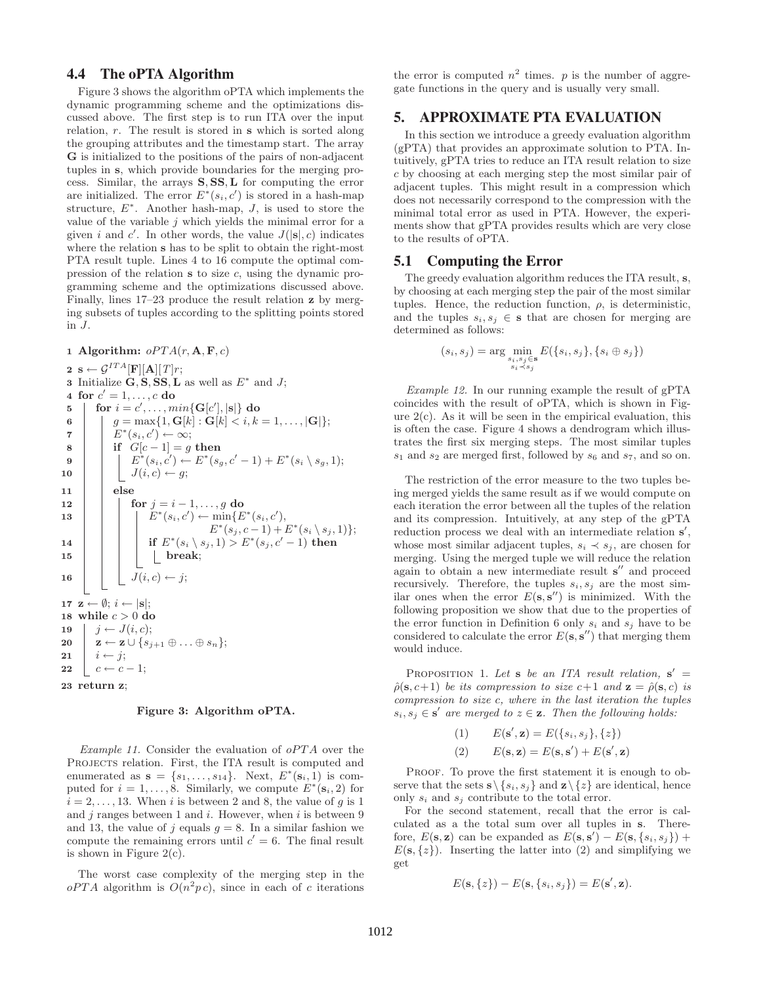## **4.4 The oPTA Algorithm**

Figure 3 shows the algorithm oPTA which implements the dynamic programming scheme and the optimizations discussed above. The first step is to run ITA over the input relation, r. The result is stored in s which is sorted along the grouping attributes and the timestamp start. The array G is initialized to the positions of the pairs of non-adjacent tuples in s, which provide boundaries for the merging process. Similar, the arrays S, SS, L for computing the error are initialized. The error  $E^*(s_i, c')$  is stored in a hash-map structure,  $E^*$ . Another hash-map, J, is used to store the value of the variable  $j$  which yields the minimal error for a given i and c'. In other words, the value  $J(|s|, c)$  indicates where the relation s has to be split to obtain the right-most PTA result tuple. Lines 4 to 16 compute the optimal compression of the relation  $s$  to size  $c$ , using the dynamic programming scheme and the optimizations discussed above. Finally, lines 17–23 produce the result relation z by merging subsets of tuples according to the splitting points stored in J.

1 Algorithm:  $oPTA(r, \mathbf{A}, \mathbf{F}, c)$ 

 $\mathbf{2} \ \mathbf{s} \leftarrow \mathcal{G}^{ITA}[\mathbf{F}][\mathbf{A}][T]r;$ **3** Initialize  $\mathbf{G}, \mathbf{S}, \mathbf{SS}, \mathbf{L}$  as well as  $E^*$  and  $J$ ; 4 for  $c' = 1, \ldots, c$  do  $\texttt{5} \quad | \quad \textbf{for} \; i = c', \ldots, min\{\textbf{G}[c'], |\textbf{s}|\} \; \textbf{do}$ 6  $|$   $g = \max\{1, \mathbf{G}[k] : \mathbf{G}[k] < i, k = 1, \ldots, |\mathbf{G}|\};$  $\mathbf{z} \quad | \quad E^*(s_i, c') \leftarrow \infty;$ 8 if  $G[c-1] = g$  then 9  $\Big| \Big| \Big| E^*(s_i, c') - E^*(s_g, c'-1) + E^*(s_i \setminus s_g, 1);$ 10  $\vert \vert \vert J(i, c) \leftarrow q;$  $11$  else 12 | | for  $j = i - 1, ..., g$  do 13  $\vert \vert \vert E^*(s_i, c') \leftarrow \min\{E^*(s_i, c'),$  $E^*(s_j, c-1) + E^*(s_i \setminus s_j, 1);$ 14  $\left| \begin{array}{c} | \\ | \end{array} \right|$  if  $E^*(s_i \setminus s_j, 1) > E^*(s_j, c'-1)$  then 15 | | | | break; 16 | |  $J(i, c) \leftarrow j;$ 17  $\mathbf{z} \leftarrow \emptyset$ ;  $i \leftarrow |\mathbf{s}|$ ; 18 while  $c > 0$  do 19  $j \leftarrow J(i, c);$ 20  $\vert \mathbf{z} \leftarrow \mathbf{z} \cup \{s_{j+1} \oplus \ldots \oplus s_n\};$ 21  $i \leftarrow j$ ; 22  $c \leftarrow c - 1;$ 23 return z;

#### Figure 3: Algorithm oPTA.

*Example 11.* Consider the evaluation of  $oPTA$  over the PROJECTS relation. First, the ITA result is computed and enumerated as  $\mathbf{s} = \{s_1, \ldots, s_{14}\}.$  Next,  $E^*(\mathbf{s}_i, 1)$  is computed for  $i = 1, \ldots, 8$ . Similarly, we compute  $E^*(s_i, 2)$  for  $i = 2, \ldots, 13$ . When i is between 2 and 8, the value of g is 1 and  $j$  ranges between 1 and  $i$ . However, when  $i$  is between 9 and 13, the value of j equals  $g = 8$ . In a similar fashion we compute the remaining errors until  $c' = 6$ . The final result is shown in Figure  $2(c)$ .

The worst case complexity of the merging step in the  $oPTA$  algorithm is  $O(n^2p c)$ , since in each of c iterations

the error is computed  $n^2$  times. p is the number of aggregate functions in the query and is usually very small.

## **5. APPROXIMATE PTA EVALUATION**

In this section we introduce a greedy evaluation algorithm (gPTA) that provides an approximate solution to PTA. Intuitively, gPTA tries to reduce an ITA result relation to size c by choosing at each merging step the most similar pair of adjacent tuples. This might result in a compression which does not necessarily correspond to the compression with the minimal total error as used in PTA. However, the experiments show that gPTA provides results which are very close to the results of oPTA.

#### **5.1 Computing the Error**

The greedy evaluation algorithm reduces the ITA result, s, by choosing at each merging step the pair of the most similar tuples. Hence, the reduction function,  $\rho$ , is deterministic, and the tuples  $s_i, s_j \in \mathbf{s}$  that are chosen for merging are determined as follows:

$$
(s_i, s_j) = \arg\min_{\substack{s_i, s_j \in \mathbf{s} \\ s_i \prec s_j}} E(\{s_i, s_j\}, \{s_i \oplus s_j\})
$$

Example 12. In our running example the result of gPTA coincides with the result of oPTA, which is shown in Figure  $2(c)$ . As it will be seen in the empirical evaluation, this is often the case. Figure 4 shows a dendrogram which illustrates the first six merging steps. The most similar tuples  $s_1$  and  $s_2$  are merged first, followed by  $s_6$  and  $s_7$ , and so on.

The restriction of the error measure to the two tuples being merged yields the same result as if we would compute on each iteration the error between all the tuples of the relation and its compression. Intuitively, at any step of the gPTA reduction process we deal with an intermediate relation s', whose most similar adjacent tuples,  $s_i \prec s_j$ , are chosen for merging. Using the merged tuple we will reduce the relation again to obtain a new intermediate result s" and proceed recursively. Therefore, the tuples  $s_i, s_j$  are the most similar ones when the error  $E(s, s'')$  is minimized. With the following proposition we show that due to the properties of the error function in Definition 6 only  $s_i$  and  $s_j$  have to be considered to calculate the error  $E(\mathbf{s}, \mathbf{s}'')$  that merging them would induce.

PROPOSITION 1. Let **s** be an ITA result relation,  $s' =$  $\hat{\rho}(\mathbf{s}, c+1)$  be its compression to size  $c+1$  and  $\mathbf{z} = \hat{\rho}(\mathbf{s}, c)$  is compression to size c, where in the last iteration the tuples  $s_i, s_j \in \mathbf{s}'$  are merged to  $z \in \mathbf{z}$ . Then the following holds:

(1) 
$$
E(\mathbf{s}', \mathbf{z}) = E({s_i, s_j}, {z})
$$
  
(2)  $E(\mathbf{s}, \mathbf{z}) = E(\mathbf{s}, \mathbf{s}') + E(\mathbf{s}', \mathbf{z})$ 

PROOF. To prove the first statement it is enough to observe that the sets  $s \setminus \{s_i, s_j\}$  and  $z \setminus \{z\}$  are identical, hence only  $s_i$  and  $s_j$  contribute to the total error.

For the second statement, recall that the error is calculated as a the total sum over all tuples in s. Therefore,  $E(\mathbf{s}, \mathbf{z})$  can be expanded as  $E(\mathbf{s}, \mathbf{s}') - E(\mathbf{s}, \{s_i, s_j\}) +$  $E(\mathbf{s}, \{z\})$ . Inserting the latter into (2) and simplifying we get

$$
E(s, \{z\}) - E(s, \{s_i, s_j\}) = E(s', \mathbf{z}).
$$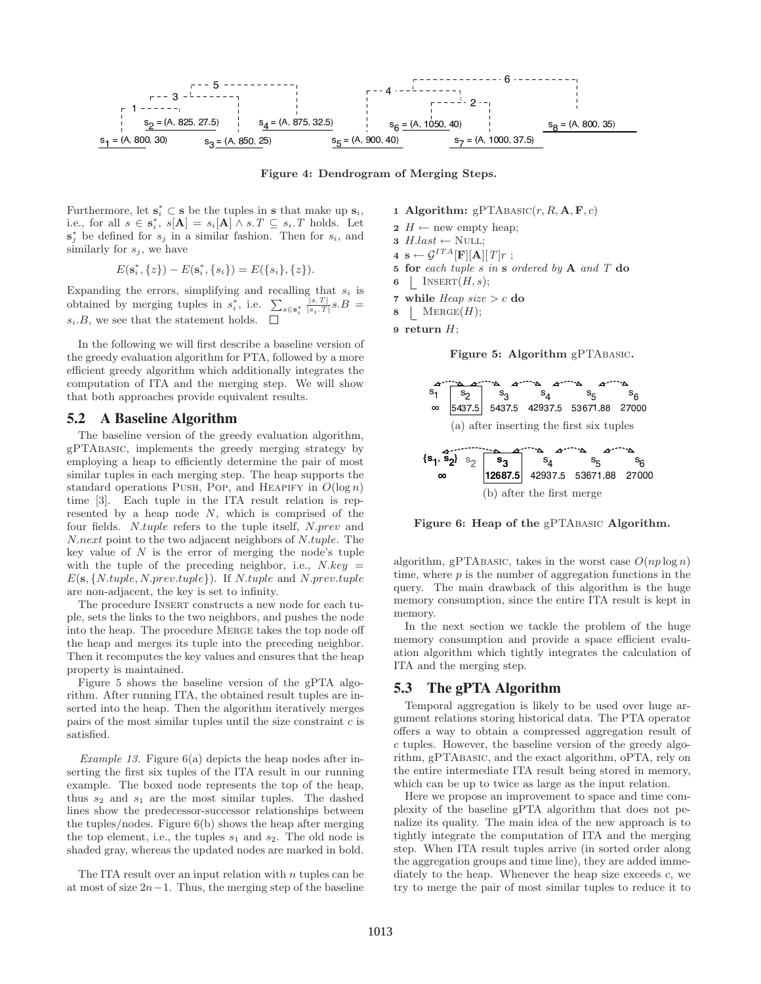

Figure 4: Dendrogram of Merging Steps.

Furthermore, let  $s_i^* \subset s$  be the tuples in s that make up  $s_i$ , i.e., for all  $s \in \mathbf{s}_i^*$ ,  $s[\mathbf{A}] = s_i[\mathbf{A}] \wedge s \mathcal{I} \subseteq s_i \mathcal{I}$  holds. Let  $\mathbf{s}_j^*$  be defined for  $s_j$  in a similar fashion. Then for  $s_i$ , and similarly for  $s_i$ , we have

$$
E(\mathbf{s}_i^*, \{z\}) - E(\mathbf{s}_i^*, \{s_i\}) = E(\{s_i\}, \{z\}).
$$

Expanding the errors, simplifying and recalling that  $s_i$  is obtained by merging tuples in  $s_i^*$ , i.e.  $\sum_{s \in \mathbf{s}_i^*}$  $\frac{|s.T|}{|s_i.T|} s.B =$  $s_i.B$ , we see that the statement holds.

In the following we will first describe a baseline version of the greedy evaluation algorithm for PTA, followed by a more efficient greedy algorithm which additionally integrates the computation of ITA and the merging step. We will show that both approaches provide equivalent results.

#### **5.2 A Baseline Algorithm**

The baseline version of the greedy evaluation algorithm, gPTAbasic, implements the greedy merging strategy by employing a heap to efficiently determine the pair of most similar tuples in each merging step. The heap supports the standard operations Push, Pop, and HEAPIFY in  $O(\log n)$ time [3]. Each tuple in the ITA result relation is represented by a heap node  $N$ , which is comprised of the four fields. N.tuple refers to the tuple itself, N.prev and N.next point to the two adjacent neighbors of N.tuple. The key value of  $N$  is the error of merging the node's tuple with the tuple of the preceding neighbor, i.e.,  $Nkey =$  $E(\mathbf{s}, \{N.tuple, N.prev.tuple\})$ . If  $N.tuple$  and  $N.prev.tuple$ are non-adjacent, the key is set to infinity.

The procedure Insert constructs a new node for each tuple, sets the links to the two neighbors, and pushes the node into the heap. The procedure Merge takes the top node off the heap and merges its tuple into the preceding neighbor. Then it recomputes the key values and ensures that the heap property is maintained.

Figure 5 shows the baseline version of the gPTA algorithm. After running ITA, the obtained result tuples are inserted into the heap. Then the algorithm iteratively merges pairs of the most similar tuples until the size constraint c is satisfied.

*Example 13.* Figure  $6(a)$  depicts the heap nodes after inserting the first six tuples of the ITA result in our running example. The boxed node represents the top of the heap, thus  $s_2$  and  $s_1$  are the most similar tuples. The dashed lines show the predecessor-successor relationships between the tuples/nodes. Figure 6(b) shows the heap after merging the top element, i.e., the tuples  $s_1$  and  $s_2$ . The old node is shaded gray, whereas the updated nodes are marked in bold.

The ITA result over an input relation with  $n$  tuples can be at most of size  $2n-1$ . Thus, the merging step of the baseline

1 Algorithm:  $gPTABASIC(r, R, A, F, c)$ 

2  $H \leftarrow$  new empty heap;

3  $H-last \leftarrow \text{NULL};$ 

 $\mathbf{A} \mathbf{s} \leftarrow \mathcal{G}^{ITA}[\mathbf{F}][\mathbf{A}][T]r$ :

5 for each tuple s in s ordered by  $\bf{A}$  and  $\bf{T}$  do

6 INSERT $(H, s)$ ;

7 while  $Heap$  size > c do

 $8$  | MERGE $(H)$ ;

9 return  $H$ ;





Figure 6: Heap of the gPTABASIC Algorithm.

algorithm, gPTABASIC, takes in the worst case  $O(np \log n)$ time, where  $p$  is the number of aggregation functions in the query. The main drawback of this algorithm is the huge memory consumption, since the entire ITA result is kept in memory.

In the next section we tackle the problem of the huge memory consumption and provide a space efficient evaluation algorithm which tightly integrates the calculation of ITA and the merging step.

#### **5.3 The gPTA Algorithm**

Temporal aggregation is likely to be used over huge argument relations storing historical data. The PTA operator offers a way to obtain a compressed aggregation result of c tuples. However, the baseline version of the greedy algorithm, gPTAbasic, and the exact algorithm, oPTA, rely on the entire intermediate ITA result being stored in memory, which can be up to twice as large as the input relation.

Here we propose an improvement to space and time complexity of the baseline gPTA algorithm that does not penalize its quality. The main idea of the new approach is to tightly integrate the computation of ITA and the merging step. When ITA result tuples arrive (in sorted order along the aggregation groups and time line), they are added immediately to the heap. Whenever the heap size exceeds  $c$ , we try to merge the pair of most similar tuples to reduce it to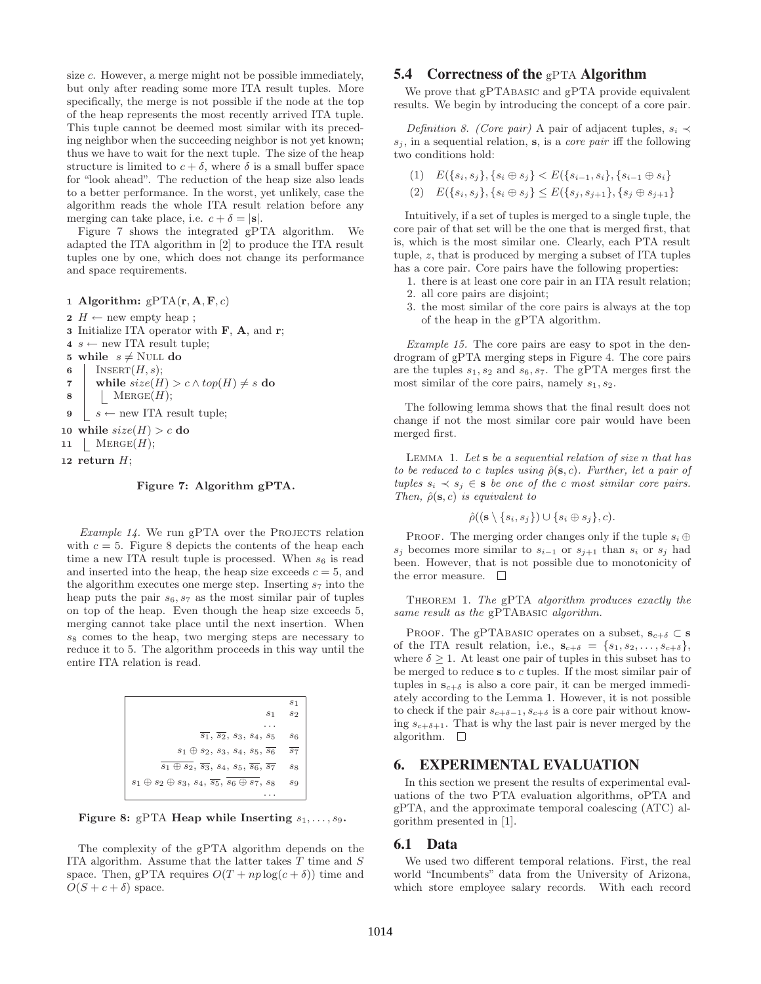size c. However, a merge might not be possible immediately, but only after reading some more ITA result tuples. More specifically, the merge is not possible if the node at the top of the heap represents the most recently arrived ITA tuple. This tuple cannot be deemed most similar with its preceding neighbor when the succeeding neighbor is not yet known; thus we have to wait for the next tuple. The size of the heap structure is limited to  $c + \delta$ , where  $\delta$  is a small buffer space for "look ahead". The reduction of the heap size also leads to a better performance. In the worst, yet unlikely, case the algorithm reads the whole ITA result relation before any merging can take place, i.e.  $c + \delta = |\mathbf{s}|$ .

Figure 7 shows the integrated gPTA algorithm. We adapted the ITA algorithm in [2] to produce the ITA result tuples one by one, which does not change its performance and space requirements.

1 Algorithm:  $gPTA(r, A, F, c)$ 

 $2 H \leftarrow$  new empty heap;

3 Initialize ITA operator with F, A, and r;

4 s ← new ITA result tuple;

5 while  $s \neq$  NULL do

6 | INSERT $(H, s);$ 

- 7 while  $size(H) > c \wedge top(H) \neq s$  do
- $\mathbf{8}$  | MERGE $(H)$ ;

9  $s \leftarrow$  new ITA result tuple;

10 while  $size(H) > c$  do

```
11 | MERGE(H);
```
12 return  $H$ :

#### Figure 7: Algorithm gPTA.

Example  $14$ . We run gPTA over the PROJECTS relation with  $c = 5$ . Figure 8 depicts the contents of the heap each time a new ITA result tuple is processed. When  $s_6$  is read and inserted into the heap, the heap size exceeds  $c = 5$ , and the algorithm executes one merge step. Inserting  $s<sub>7</sub>$  into the heap puts the pair  $s_6, s_7$  as the most similar pair of tuples on top of the heap. Even though the heap size exceeds 5, merging cannot take place until the next insertion. When  $s_8$  comes to the heap, two merging steps are necessary to reduce it to 5. The algorithm proceeds in this way until the entire ITA relation is read.



Figure 8: gPTA Heap while Inserting  $s_1, \ldots, s_9$ .

The complexity of the gPTA algorithm depends on the ITA algorithm. Assume that the latter takes T time and S space. Then, gPTA requires  $O(T + np \log(c + \delta))$  time and  $O(S + c + \delta)$  space.

## **5.4 Correctness of the** gPTA **Algorithm**

We prove that gPTABASIC and gPTA provide equivalent results. We begin by introducing the concept of a core pair.

Definition 8. (Core pair) A pair of adjacent tuples,  $s_i \prec$  $s_i$ , in a sequential relation, s, is a *core pair* iff the following two conditions hold:

- (1)  $E({s_i,s_j}, {s_i \oplus s_j} < E({s_{i-1},s_i}, {s_{i-1} \oplus s_i})$
- (2)  $E({s_i,s_j}, {s_i \oplus s_j} \le E({s_j,s_{j+1}}, {s_j \oplus s_{j+1}})$

Intuitively, if a set of tuples is merged to a single tuple, the core pair of that set will be the one that is merged first, that is, which is the most similar one. Clearly, each PTA result tuple, z, that is produced by merging a subset of ITA tuples has a core pair. Core pairs have the following properties:

- 1. there is at least one core pair in an ITA result relation;
- 2. all core pairs are disjoint;
- 3. the most similar of the core pairs is always at the top of the heap in the gPTA algorithm.

Example 15. The core pairs are easy to spot in the dendrogram of gPTA merging steps in Figure 4. The core pairs are the tuples  $s_1, s_2$  and  $s_6, s_7$ . The gPTA merges first the most similar of the core pairs, namely  $s_1, s_2$ .

The following lemma shows that the final result does not change if not the most similar core pair would have been merged first.

LEMMA 1. Let  $s$  be a sequential relation of size n that has to be reduced to c tuples using  $\hat{\rho}(\mathbf{s}, c)$ . Further, let a pair of tuples  $s_i \prec s_j \in \mathbf{s}$  be one of the c most similar core pairs. Then,  $\hat{\rho}(\mathbf{s}, c)$  is equivalent to

$$
\hat{\rho}((\mathbf{s} \setminus \{s_i, s_j\}) \cup \{s_i \oplus s_j\}, c).
$$

PROOF. The merging order changes only if the tuple  $s_i \oplus$  $s_j$  becomes more similar to  $s_{i-1}$  or  $s_{j+1}$  than  $s_i$  or  $s_j$  had been. However, that is not possible due to monotonicity of the error measure.  $\quad \Box$ 

THEOREM 1. The gPTA algorithm produces exactly the same result as the gPTABASIC algorithm.

PROOF. The gPTABASIC operates on a subset,  $s_{c+\delta} \subset s$ of the ITA result relation, i.e.,  $\mathbf{s}_{c+\delta} = \{s_1, s_2, \ldots, s_{c+\delta}\},\$ where  $\delta \geq 1$ . At least one pair of tuples in this subset has to be merged to reduce s to c tuples. If the most similar pair of tuples in  $s_{c+\delta}$  is also a core pair, it can be merged immediately according to the Lemma 1. However, it is not possible to check if the pair  $s_{c+\delta-1}, s_{c+\delta}$  is a core pair without knowing  $s_{c+\delta+1}$ . That is why the last pair is never merged by the algorithm.  $\square$ 

## **6. EXPERIMENTAL EVALUATION**

In this section we present the results of experimental evaluations of the two PTA evaluation algorithms, oPTA and gPTA, and the approximate temporal coalescing (ATC) algorithm presented in [1].

#### **6.1 Data**

We used two different temporal relations. First, the real world "Incumbents" data from the University of Arizona, which store employee salary records. With each record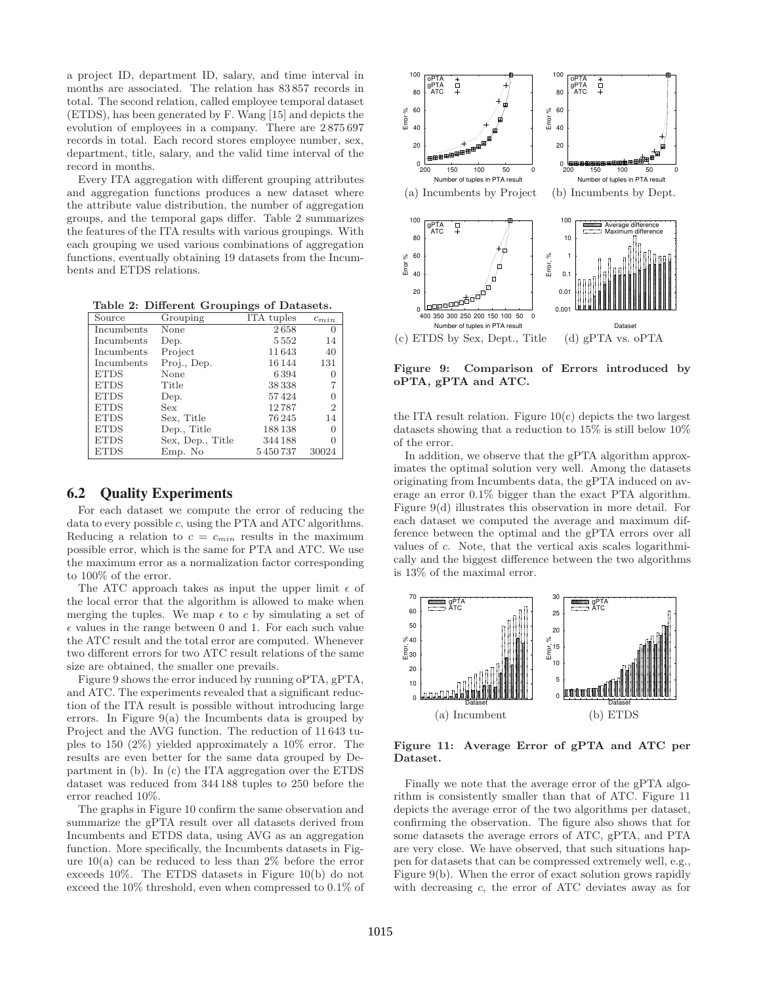a project ID, department ID, salary, and time interval in months are associated. The relation has 83 857 records in total. The second relation, called employee temporal dataset (ETDS), has been generated by F. Wang [15] and depicts the evolution of employees in a company. There are 2 875 697 records in total. Each record stores employee number, sex, department, title, salary, and the valid time interval of the record in months.

Every ITA aggregation with different grouping attributes and aggregation functions produces a new dataset where the attribute value distribution, the number of aggregation groups, and the temporal gaps differ. Table 2 summarizes the features of the ITA results with various groupings. With each grouping we used various combinations of aggregation functions, eventually obtaining 19 datasets from the Incumbents and ETDS relations.

Table 2: Different Groupings of Datasets.

| Source      | Grouping         | ITA tuples | $c_{min}$      |
|-------------|------------------|------------|----------------|
| Incumbents  | None             | 2658       | $\cup$         |
| Incumbents  | Dep.             | 5552       | 14             |
| Incumbents  | Project          | 11643      | 40             |
| Incumbents  | Proj., Dep.      | 16144      | 131            |
| <b>ETDS</b> | None             | 6394       | $\theta$       |
| <b>ETDS</b> | Title            | 38338      | 7              |
| <b>ETDS</b> | Dep.             | 57424      | $\mathbf{0}$   |
| <b>ETDS</b> | Sex              | 12787      | $\overline{2}$ |
| <b>ETDS</b> | Sex, Title       | 76245      | 14             |
| <b>ETDS</b> | Dep., Title      | 188138     | 0              |
| <b>ETDS</b> | Sex, Dep., Title | 344 188    |                |
| <b>ETDS</b> | Emp. No          | 5450737    | 30024          |

#### **6.2 Quality Experiments**

For each dataset we compute the error of reducing the data to every possible c, using the PTA and ATC algorithms. Reducing a relation to  $c = c_{min}$  results in the maximum possible error, which is the same for PTA and ATC. We use the maximum error as a normalization factor corresponding to 100% of the error.

The ATC approach takes as input the upper limit  $\epsilon$  of the local error that the algorithm is allowed to make when merging the tuples. We map  $\epsilon$  to c by simulating a set of  $\epsilon$  values in the range between 0 and 1. For each such value the ATC result and the total error are computed. Whenever two different errors for two ATC result relations of the same size are obtained, the smaller one prevails.

Figure 9 shows the error induced by running oPTA, gPTA, and ATC. The experiments revealed that a significant reduction of the ITA result is possible without introducing large errors. In Figure  $9(a)$  the Incumbents data is grouped by Project and the AVG function. The reduction of 11 643 tuples to 150 (2%) yielded approximately a 10% error. The results are even better for the same data grouped by Department in (b). In (c) the ITA aggregation over the ETDS dataset was reduced from 344 188 tuples to 250 before the error reached 10%.

The graphs in Figure 10 confirm the same observation and summarize the gPTA result over all datasets derived from Incumbents and ETDS data, using AVG as an aggregation function. More specifically, the Incumbents datasets in Figure  $10(a)$  can be reduced to less than  $2\%$  before the error exceeds 10%. The ETDS datasets in Figure 10(b) do not exceed the 10% threshold, even when compressed to 0.1% of



Figure 9: Comparison of Errors introduced by oPTA, gPTA and ATC.

the ITA result relation. Figure 10(c) depicts the two largest datasets showing that a reduction to 15% is still below 10% of the error.

In addition, we observe that the gPTA algorithm approximates the optimal solution very well. Among the datasets originating from Incumbents data, the gPTA induced on average an error 0.1% bigger than the exact PTA algorithm. Figure 9(d) illustrates this observation in more detail. For each dataset we computed the average and maximum difference between the optimal and the gPTA errors over all values of c. Note, that the vertical axis scales logarithmically and the biggest difference between the two algorithms is 13% of the maximal error.



Figure 11: Average Error of gPTA and ATC per Dataset.

Finally we note that the average error of the gPTA algorithm is consistently smaller than that of ATC. Figure 11 depicts the average error of the two algorithms per dataset, confirming the observation. The figure also shows that for some datasets the average errors of ATC, gPTA, and PTA are very close. We have observed, that such situations happen for datasets that can be compressed extremely well, e.g., Figure 9(b). When the error of exact solution grows rapidly with decreasing c, the error of ATC deviates away as for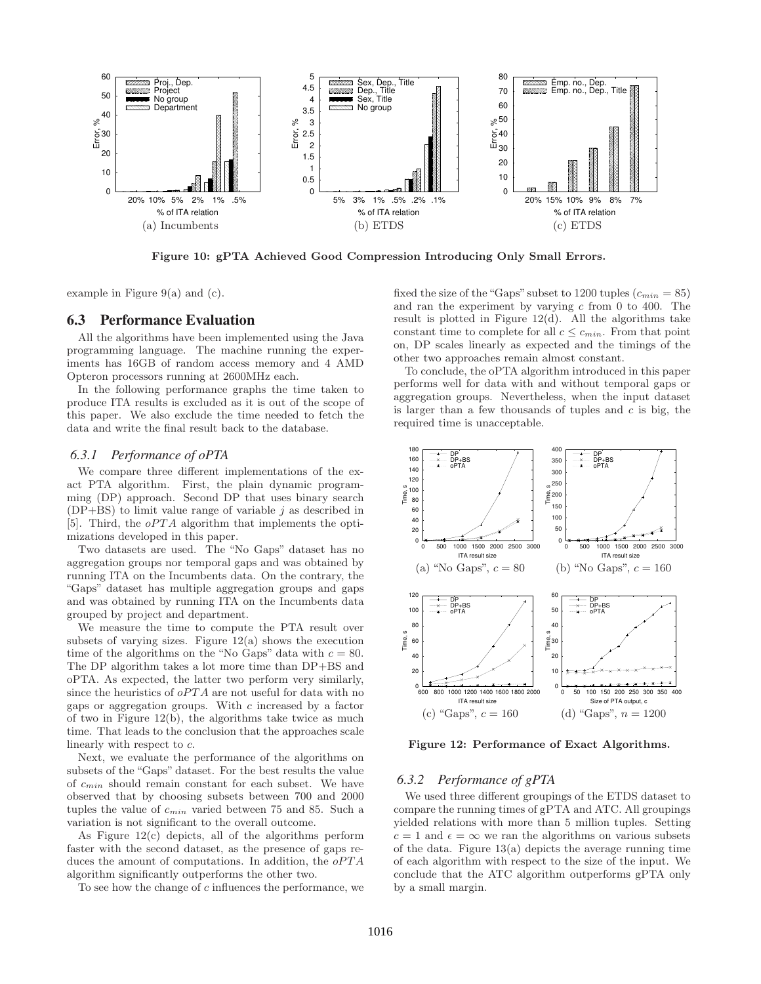

Figure 10: gPTA Achieved Good Compression Introducing Only Small Errors.

example in Figure 9(a) and (c).

#### **6.3 Performance Evaluation**

All the algorithms have been implemented using the Java programming language. The machine running the experiments has 16GB of random access memory and 4 AMD Opteron processors running at 2600MHz each.

In the following performance graphs the time taken to produce ITA results is excluded as it is out of the scope of this paper. We also exclude the time needed to fetch the data and write the final result back to the database.

#### *6.3.1 Performance of oPTA*

We compare three different implementations of the exact PTA algorithm. First, the plain dynamic programming (DP) approach. Second DP that uses binary search (DP+BS) to limit value range of variable  $j$  as described in [5]. Third, the  $oPTA$  algorithm that implements the optimizations developed in this paper.

Two datasets are used. The "No Gaps" dataset has no aggregation groups nor temporal gaps and was obtained by running ITA on the Incumbents data. On the contrary, the "Gaps" dataset has multiple aggregation groups and gaps and was obtained by running ITA on the Incumbents data grouped by project and department.

We measure the time to compute the PTA result over subsets of varying sizes. Figure  $12(a)$  shows the execution time of the algorithms on the "No Gaps" data with  $c = 80$ . The DP algorithm takes a lot more time than DP+BS and oPTA. As expected, the latter two perform very similarly, since the heuristics of  $oPTA$  are not useful for data with no gaps or aggregation groups. With c increased by a factor of two in Figure 12(b), the algorithms take twice as much time. That leads to the conclusion that the approaches scale linearly with respect to c.

Next, we evaluate the performance of the algorithms on subsets of the "Gaps" dataset. For the best results the value of  $c_{min}$  should remain constant for each subset. We have observed that by choosing subsets between 700 and 2000 tuples the value of  $c_{min}$  varied between 75 and 85. Such a variation is not significant to the overall outcome.

As Figure 12(c) depicts, all of the algorithms perform faster with the second dataset, as the presence of gaps reduces the amount of computations. In addition, the  $\partial PTA$ algorithm significantly outperforms the other two.

To see how the change of c influences the performance, we

fixed the size of the "Gaps" subset to 1200 tuples  $(c_{min} = 85)$ and ran the experiment by varying  $c$  from 0 to 400. The result is plotted in Figure 12(d). All the algorithms take constant time to complete for all  $c \leq c_{min}$ . From that point on, DP scales linearly as expected and the timings of the other two approaches remain almost constant.

To conclude, the oPTA algorithm introduced in this paper performs well for data with and without temporal gaps or aggregation groups. Nevertheless, when the input dataset is larger than a few thousands of tuples and  $c$  is big, the required time is unacceptable.



Figure 12: Performance of Exact Algorithms.

#### *6.3.2 Performance of gPTA*

We used three different groupings of the ETDS dataset to compare the running times of gPTA and ATC. All groupings yielded relations with more than 5 million tuples. Setting  $c = 1$  and  $\epsilon = \infty$  we ran the algorithms on various subsets of the data. Figure 13(a) depicts the average running time of each algorithm with respect to the size of the input. We conclude that the ATC algorithm outperforms gPTA only by a small margin.